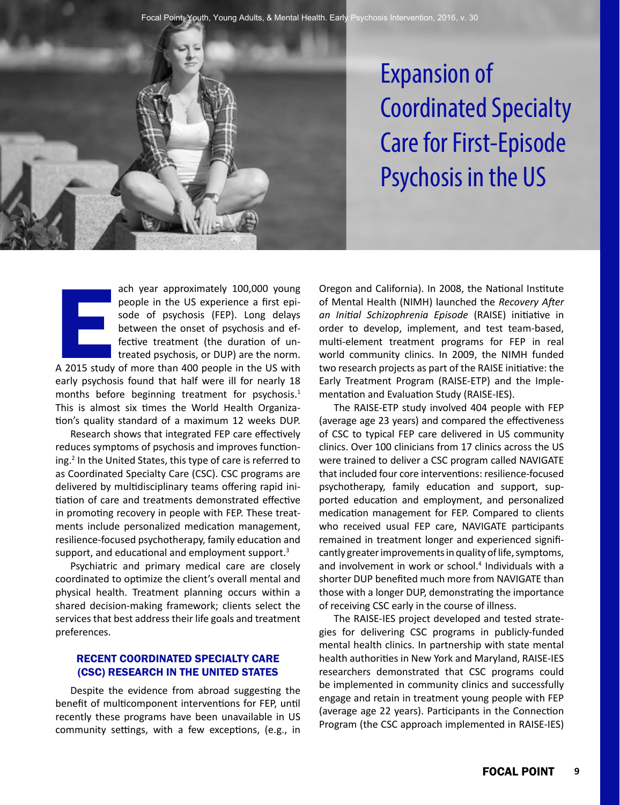Expansion of Coordinated Specialty Care for First-Episode Psychosis in the US

ach year approximately 100,000 young people in the US experience a first episode of psychosis (FEP). Long delays between the onset of psychosis and effective treatment (the duration of untreated psychosis, or DUP) are the norm.

 $\begin{array}{c}\n\hline\n\text{A} & \text{2015 study}\n\end{array}$ A 2015 study of more than 400 people in the US with early psychosis found that half were ill for nearly 18 months before beginning treatment for psychosis.<sup>1</sup> This is almost six times the World Health Organization's quality standard of a maximum 12 weeks DUP.

Research shows that integrated FEP care effectively reduces symptoms of psychosis and improves functioning.2 In the United States, this type of care is referred to as Coordinated Specialty Care (CSC). CSC programs are delivered by multidisciplinary teams offering rapid initiation of care and treatments demonstrated effective in promoting recovery in people with FEP. These treatments include personalized medication management, resilience-focused psychotherapy, family education and support, and educational and employment support.<sup>3</sup>

Psychiatric and primary medical care are closely coordinated to optimize the client's overall mental and physical health. Treatment planning occurs within a shared decision-making framework; clients select the services that best address their life goals and treatment preferences.

# RECENT COORDINATED SPECIALTY CARE (CSC) RESEARCH IN THE UNITED STATES

Despite the evidence from abroad suggesting the benefit of multicomponent interventions for FEP, until recently these programs have been unavailable in US community settings, with a few exceptions, (e.g., in Oregon and California). In 2008, the National Institute of Mental Health (NIMH) launched the *Recovery After an Initial Schizophrenia Episode* (RAISE) initiative in order to develop, implement, and test team-based, multi-element treatment programs for FEP in real world community clinics. In 2009, the NIMH funded two research projects as part of the RAISE initiative: the Early Treatment Program (RAISE-ETP) and the Implementation and Evaluation Study (RAISE-IES).

The RAISE-ETP study involved 404 people with FEP (average age 23 years) and compared the effectiveness of CSC to typical FEP care delivered in US community clinics. Over 100 clinicians from 17 clinics across the US were trained to deliver a CSC program called NAVIGATE that included four core interventions: resilience-focused psychotherapy, family education and support, supported education and employment, and personalized medication management for FEP. Compared to clients who received usual FEP care, NAVIGATE participants remained in treatment longer and experienced significantly greater improvements in quality of life, symptoms, and involvement in work or school.<sup>4</sup> Individuals with a shorter DUP benefited much more from NAVIGATE than those with a longer DUP, demonstrating the importance of receiving CSC early in the course of illness.

The RAISE-IES project developed and tested strategies for delivering CSC programs in publicly-funded mental health clinics. In partnership with state mental health authorities in New York and Maryland, RAISE-IES researchers demonstrated that CSC programs could be implemented in community clinics and successfully engage and retain in treatment young people with FEP (average age 22 years). Participants in the Connection Program (the CSC approach implemented in RAISE-IES)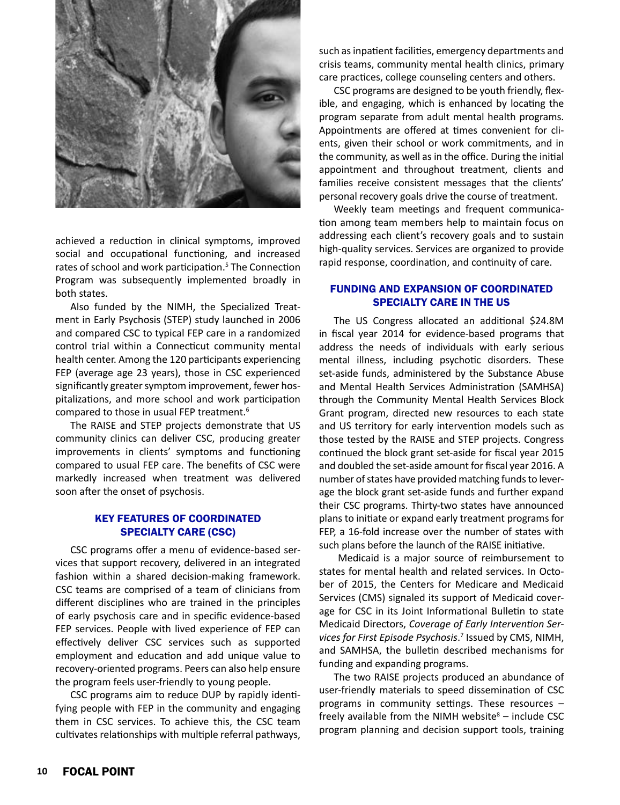

achieved a reduction in clinical symptoms, improved social and occupational functioning, and increased rates of school and work participation.<sup>5</sup> The Connection Program was subsequently implemented broadly in both states.

Also funded by the NIMH, the Specialized Treatment in Early Psychosis (STEP) study launched in 2006 and compared CSC to typical FEP care in a randomized control trial within a Connecticut community mental health center. Among the 120 participants experiencing FEP (average age 23 years), those in CSC experienced significantly greater symptom improvement, fewer hospitalizations, and more school and work participation compared to those in usual FEP treatment.6

The RAISE and STEP projects demonstrate that US community clinics can deliver CSC, producing greater improvements in clients' symptoms and functioning compared to usual FEP care. The benefits of CSC were markedly increased when treatment was delivered soon after the onset of psychosis.

## KEY FEATURES OF COORDINATED SPECIALTY CARE (CSC)

CSC programs offer a menu of evidence-based services that support recovery, delivered in an integrated fashion within a shared decision-making framework. CSC teams are comprised of a team of clinicians from different disciplines who are trained in the principles of early psychosis care and in specific evidence-based FEP services. People with lived experience of FEP can effectively deliver CSC services such as supported employment and education and add unique value to recovery-oriented programs. Peers can also help ensure the program feels user-friendly to young people.

CSC programs aim to reduce DUP by rapidly identifying people with FEP in the community and engaging them in CSC services. To achieve this, the CSC team cultivates relationships with multiple referral pathways, such as inpatient facilities, emergency departments and crisis teams, community mental health clinics, primary care practices, college counseling centers and others.

CSC programs are designed to be youth friendly, flexible, and engaging, which is enhanced by locating the program separate from adult mental health programs. Appointments are offered at times convenient for clients, given their school or work commitments, and in the community, as well as in the office. During the initial appointment and throughout treatment, clients and families receive consistent messages that the clients' personal recovery goals drive the course of treatment.

Weekly team meetings and frequent communication among team members help to maintain focus on addressing each client's recovery goals and to sustain high-quality services. Services are organized to provide rapid response, coordination, and continuity of care.

## FUNDING AND EXPANSION OF COORDINATED SPECIALTY CARE IN THE US

The US Congress allocated an additional \$24.8M in fiscal year 2014 for evidence-based programs that address the needs of individuals with early serious mental illness, including psychotic disorders. These set-aside funds, administered by the Substance Abuse and Mental Health Services Administration (SAMHSA) through the Community Mental Health Services Block Grant program, directed new resources to each state and US territory for early intervention models such as those tested by the RAISE and STEP projects. Congress continued the block grant set-aside for fiscal year 2015 and doubled the set-aside amount for fiscal year 2016. A number of states have provided matching funds to leverage the block grant set-aside funds and further expand their CSC programs. Thirty-two states have announced plans to initiate or expand early treatment programs for FEP, a 16-fold increase over the number of states with such plans before the launch of the RAISE initiative.

 Medicaid is a major source of reimbursement to states for mental health and related services. In October of 2015, the Centers for Medicare and Medicaid Services (CMS) signaled its support of Medicaid coverage for CSC in its Joint Informational Bulletin to state Medicaid Directors, *Coverage of Early Intervention Ser*vices for First Episode Psychosis.<sup>7</sup> Issued by CMS, NIMH, and SAMHSA, the bulletin described mechanisms for funding and expanding programs.

The two RAISE projects produced an abundance of user-friendly materials to speed dissemination of CSC programs in community settings. These resources – freely available from the NIMH website $8 -$  include CSC program planning and decision support tools, training